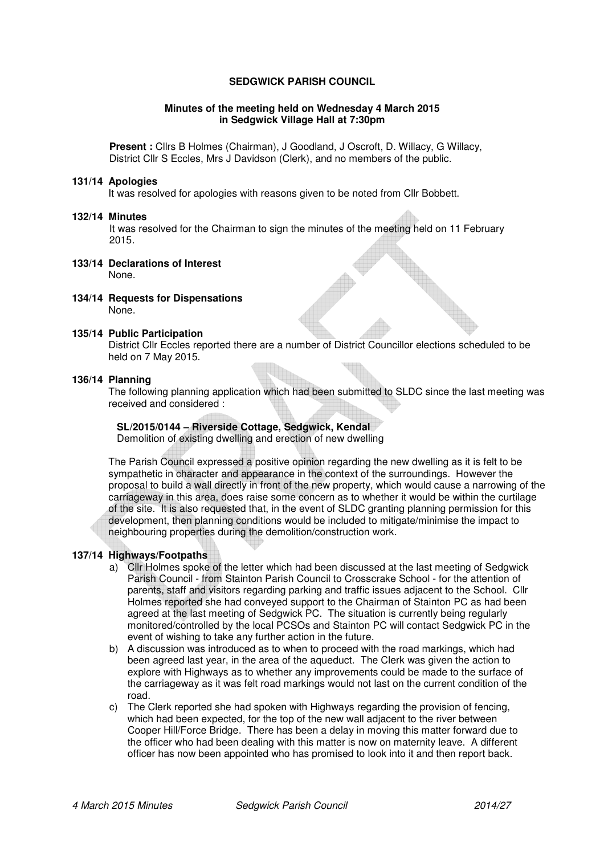## **SEDGWICK PARISH COUNCIL**

### **Minutes of the meeting held on Wednesday 4 March 2015 in Sedgwick Village Hall at 7:30pm**

**Present :** Cllrs B Holmes (Chairman), J Goodland, J Oscroft, D. Willacy, G Willacy, District Cllr S Eccles, Mrs J Davidson (Clerk), and no members of the public.

#### **131/14 Apologies**

It was resolved for apologies with reasons given to be noted from Cllr Bobbett.

#### **132/14 Minutes**

It was resolved for the Chairman to sign the minutes of the meeting held on 11 February 2015.

- **133/14 Declarations of Interest**  None.
- **134/14 Requests for Dispensations**  None.

#### **135/14 Public Participation**

District Cllr Eccles reported there are a number of District Councillor elections scheduled to be held on 7 May 2015.

### **136/14 Planning**

The following planning application which had been submitted to SLDC since the last meeting was received and considered :

### **SL/2015/0144 – Riverside Cottage, Sedgwick, Kendal**

Demolition of existing dwelling and erection of new dwelling

The Parish Council expressed a positive opinion regarding the new dwelling as it is felt to be sympathetic in character and appearance in the context of the surroundings. However the proposal to build a wall directly in front of the new property, which would cause a narrowing of the carriageway in this area, does raise some concern as to whether it would be within the curtilage of the site. It is also requested that, in the event of SLDC granting planning permission for this development, then planning conditions would be included to mitigate/minimise the impact to neighbouring properties during the demolition/construction work.

## **137/14 Highways/Footpaths**

- a) Cllr Holmes spoke of the letter which had been discussed at the last meeting of Sedgwick Parish Council - from Stainton Parish Council to Crosscrake School - for the attention of parents, staff and visitors regarding parking and traffic issues adjacent to the School. Cllr Holmes reported she had conveyed support to the Chairman of Stainton PC as had been agreed at the last meeting of Sedgwick PC. The situation is currently being regularly monitored/controlled by the local PCSOs and Stainton PC will contact Sedgwick PC in the event of wishing to take any further action in the future.
- b) A discussion was introduced as to when to proceed with the road markings, which had been agreed last year, in the area of the aqueduct. The Clerk was given the action to explore with Highways as to whether any improvements could be made to the surface of the carriageway as it was felt road markings would not last on the current condition of the road.
- c) The Clerk reported she had spoken with Highways regarding the provision of fencing, which had been expected, for the top of the new wall adjacent to the river between Cooper Hill/Force Bridge. There has been a delay in moving this matter forward due to the officer who had been dealing with this matter is now on maternity leave. A different officer has now been appointed who has promised to look into it and then report back.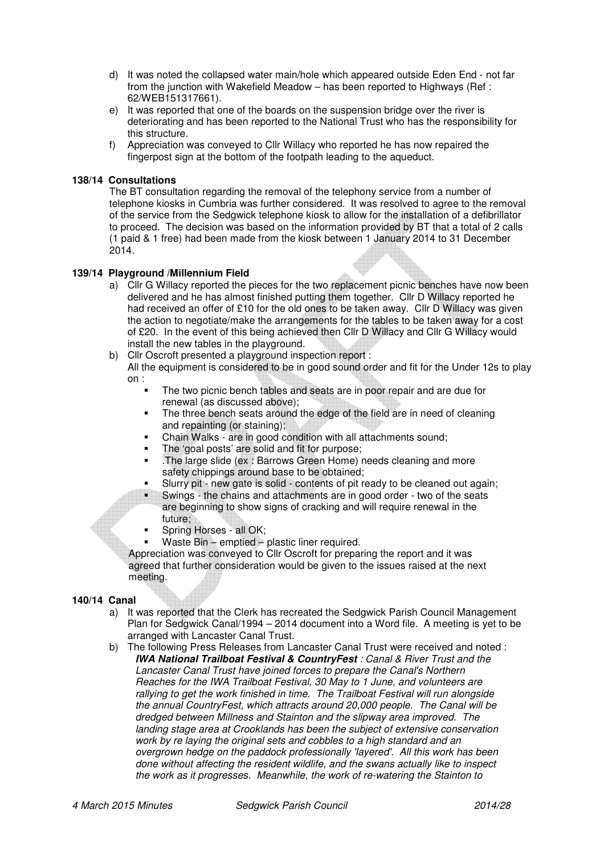- d) It was noted the collapsed water main/hole which appeared outside Eden End not far from the junction with Wakefield Meadow – has been reported to Highways (Ref : 62/WEB151317661).
- e) It was reported that one of the boards on the suspension bridge over the river is deteriorating and has been reported to the National Trust who has the responsibility for this structure.
- f) Appreciation was conveyed to Cllr Willacy who reported he has now repaired the fingerpost sign at the bottom of the footpath leading to the aqueduct.

# **138/14 Consultations**

The BT consultation regarding the removal of the telephony service from a number of telephone kiosks in Cumbria was further considered. It was resolved to agree to the removal of the service from the Sedgwick telephone kiosk to allow for the installation of a defibrillator to proceed. The decision was based on the information provided by BT that a total of 2 calls (1 paid & 1 free) had been made from the kiosk between 1 January 2014 to 31 December 2014.

## **139/14 Playground /Millennium Field**

- a) Cllr G Willacy reported the pieces for the two replacement picnic benches have now been delivered and he has almost finished putting them together. Cllr D Willacy reported he had received an offer of £10 for the old ones to be taken away. Cllr D Willacy was given the action to negotiate/make the arrangements for the tables to be taken away for a cost of £20. In the event of this being achieved then Cllr D Willacy and Cllr G Willacy would install the new tables in the playground.
- b) Cllr Oscroft presented a playground inspection report :
	- All the equipment is considered to be in good sound order and fit for the Under 12s to play on :
		- The two picnic bench tables and seats are in poor repair and are due for renewal (as discussed above);
		- The three bench seats around the edge of the field are in need of cleaning and repainting (or staining);
		- Chain Walks are in good condition with all attachments sound;
		- The 'goal posts' are solid and fit for purpose;
		- .The large slide (ex : Barrows Green Home) needs cleaning and more safety chippings around base to be obtained;
		- Slurry pit new gate is solid contents of pit ready to be cleaned out again;<br>Swings the chains and attachments are in good order two of the seats
		- Swings the chains and attachments are in good order two of the seats are beginning to show signs of cracking and will require renewal in the future;
		- Spring Horses all OK;
		- Waste Bin emptied plastic liner required.

Appreciation was conveyed to Cllr Oscroft for preparing the report and it was agreed that further consideration would be given to the issues raised at the next meeting.

## **140/14 Canal**

- a) It was reported that the Clerk has recreated the Sedgwick Parish Council Management Plan for Sedgwick Canal/1994 – 2014 document into a Word file. A meeting is yet to be arranged with Lancaster Canal Trust.
- b) The following Press Releases from Lancaster Canal Trust were received and noted : **IWA National Trailboat Festival & CountryFest** : Canal & River Trust and the Lancaster Canal Trust have joined forces to prepare the Canal's Northern Reaches for the IWA Trailboat Festival, 30 May to 1 June, and volunteers are rallying to get the work finished in time. The Trailboat Festival will run alongside the annual CountryFest, which attracts around 20,000 people. The Canal will be dredged between Millness and Stainton and the slipway area improved. The landing stage area at Crooklands has been the subject of extensive conservation work by re laying the original sets and cobbles to a high standard and an overgrown hedge on the paddock professionally 'layered'. All this work has been done without affecting the resident wildlife, and the swans actually like to inspect the work as it progresses. Meanwhile, the work of re-watering the Stainton to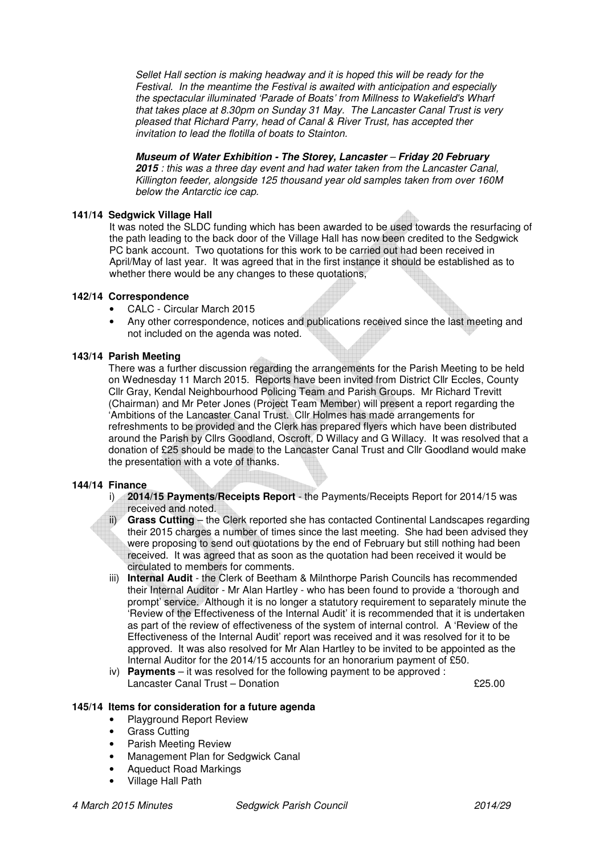Sellet Hall section is making headway and it is hoped this will be ready for the Festival. In the meantime the Festival is awaited with anticipation and especially the spectacular illuminated 'Parade of Boats' from Millness to Wakefield's Wharf that takes place at 8.30pm on Sunday 31 May. The Lancaster Canal Trust is very pleased that Richard Parry, head of Canal & River Trust, has accepted ther invitation to lead the flotilla of boats to Stainton.

# **Museum of Water Exhibition - The Storey, Lancaster** – **Friday 20 February**

**2015** : this was a three day event and had water taken from the Lancaster Canal, Killington feeder, alongside 125 thousand year old samples taken from over 160M below the Antarctic ice cap.

# **141/14 Sedgwick Village Hall**

It was noted the SLDC funding which has been awarded to be used towards the resurfacing of the path leading to the back door of the Village Hall has now been credited to the Sedgwick PC bank account. Two quotations for this work to be carried out had been received in April/May of last year. It was agreed that in the first instance it should be established as to whether there would be any changes to these quotations,

# **142/14 Correspondence**

- CALC Circular March 2015
- Any other correspondence, notices and publications received since the last meeting and not included on the agenda was noted.

## **143/14 Parish Meeting**

There was a further discussion regarding the arrangements for the Parish Meeting to be held on Wednesday 11 March 2015. Reports have been invited from District Cllr Eccles, County Cllr Gray, Kendal Neighbourhood Policing Team and Parish Groups. Mr Richard Trevitt (Chairman) and Mr Peter Jones (Project Team Member) will present a report regarding the 'Ambitions of the Lancaster Canal Trust. Cllr Holmes has made arrangements for refreshments to be provided and the Clerk has prepared flyers which have been distributed around the Parish by Cllrs Goodland, Oscroft, D Willacy and G Willacy. It was resolved that a donation of £25 should be made to the Lancaster Canal Trust and Cllr Goodland would make the presentation with a vote of thanks.

# **144/14 Finance**

- i) **2014/15 Payments/Receipts Report** the Payments/Receipts Report for 2014/15 was received and noted.
- ii) **Grass Cutting** the Clerk reported she has contacted Continental Landscapes regarding their 2015 charges a number of times since the last meeting. She had been advised they were proposing to send out quotations by the end of February but still nothing had been received. It was agreed that as soon as the quotation had been received it would be circulated to members for comments.
- iii) **Internal Audit** the Clerk of Beetham & Milnthorpe Parish Councils has recommended their Internal Auditor - Mr Alan Hartley - who has been found to provide a 'thorough and prompt' service. Although it is no longer a statutory requirement to separately minute the 'Review of the Effectiveness of the Internal Audit' it is recommended that it is undertaken as part of the review of effectiveness of the system of internal control. A 'Review of the Effectiveness of the Internal Audit' report was received and it was resolved for it to be approved. It was also resolved for Mr Alan Hartley to be invited to be appointed as the Internal Auditor for the 2014/15 accounts for an honorarium payment of £50.
- iv) **Payments**  it was resolved for the following payment to be approved : Lancaster Canal Trust – Donation **EXALL 2018** 25.00

## **145/14 Items for consideration for a future agenda**

- Playground Report Review
- Grass Cutting
- Parish Meeting Review
- Management Plan for Sedgwick Canal
- Aqueduct Road Markings
- Village Hall Path